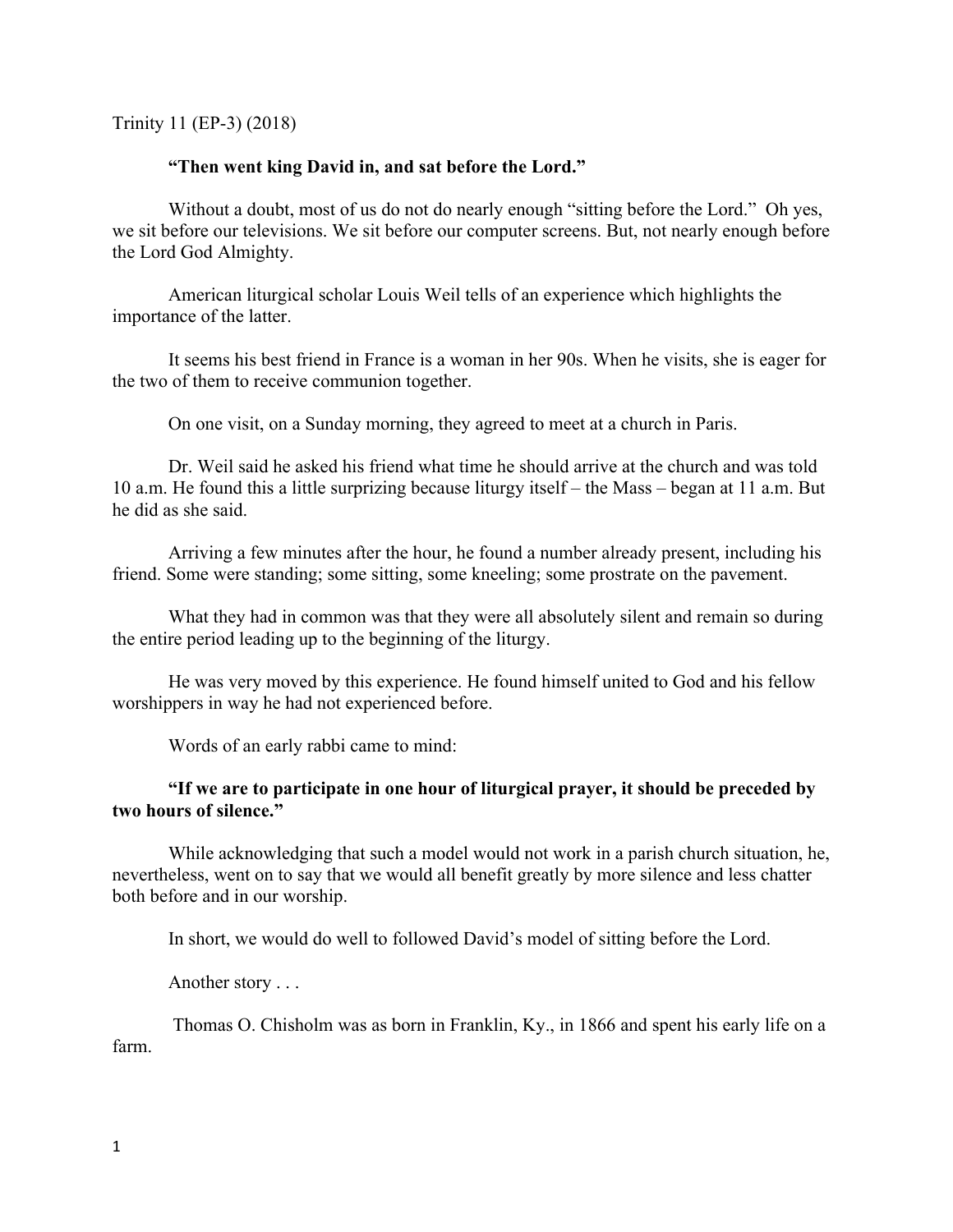Trinity 11 (EP-3) (2018)

#### **"Then went king David in, and sat before the Lord."**

Without a doubt, most of us do not do nearly enough "sitting before the Lord." Oh yes, we sit before our televisions. We sit before our computer screens. But, not nearly enough before the Lord God Almighty.

American liturgical scholar Louis Weil tells of an experience which highlights the importance of the latter.

It seems his best friend in France is a woman in her 90s. When he visits, she is eager for the two of them to receive communion together.

On one visit, on a Sunday morning, they agreed to meet at a church in Paris.

Dr. Weil said he asked his friend what time he should arrive at the church and was told 10 a.m. He found this a little surprizing because liturgy itself – the Mass – began at 11 a.m. But he did as she said.

Arriving a few minutes after the hour, he found a number already present, including his friend. Some were standing; some sitting, some kneeling; some prostrate on the pavement.

What they had in common was that they were all absolutely silent and remain so during the entire period leading up to the beginning of the liturgy.

He was very moved by this experience. He found himself united to God and his fellow worshippers in way he had not experienced before.

Words of an early rabbi came to mind:

# **"If we are to participate in one hour of liturgical prayer, it should be preceded by two hours of silence."**

While acknowledging that such a model would not work in a parish church situation, he, nevertheless, went on to say that we would all benefit greatly by more silence and less chatter both before and in our worship.

In short, we would do well to followed David's model of sitting before the Lord.

Another story . . .

Thomas O. Chisholm was as born in Franklin, Ky., in 1866 and spent his early life on a farm.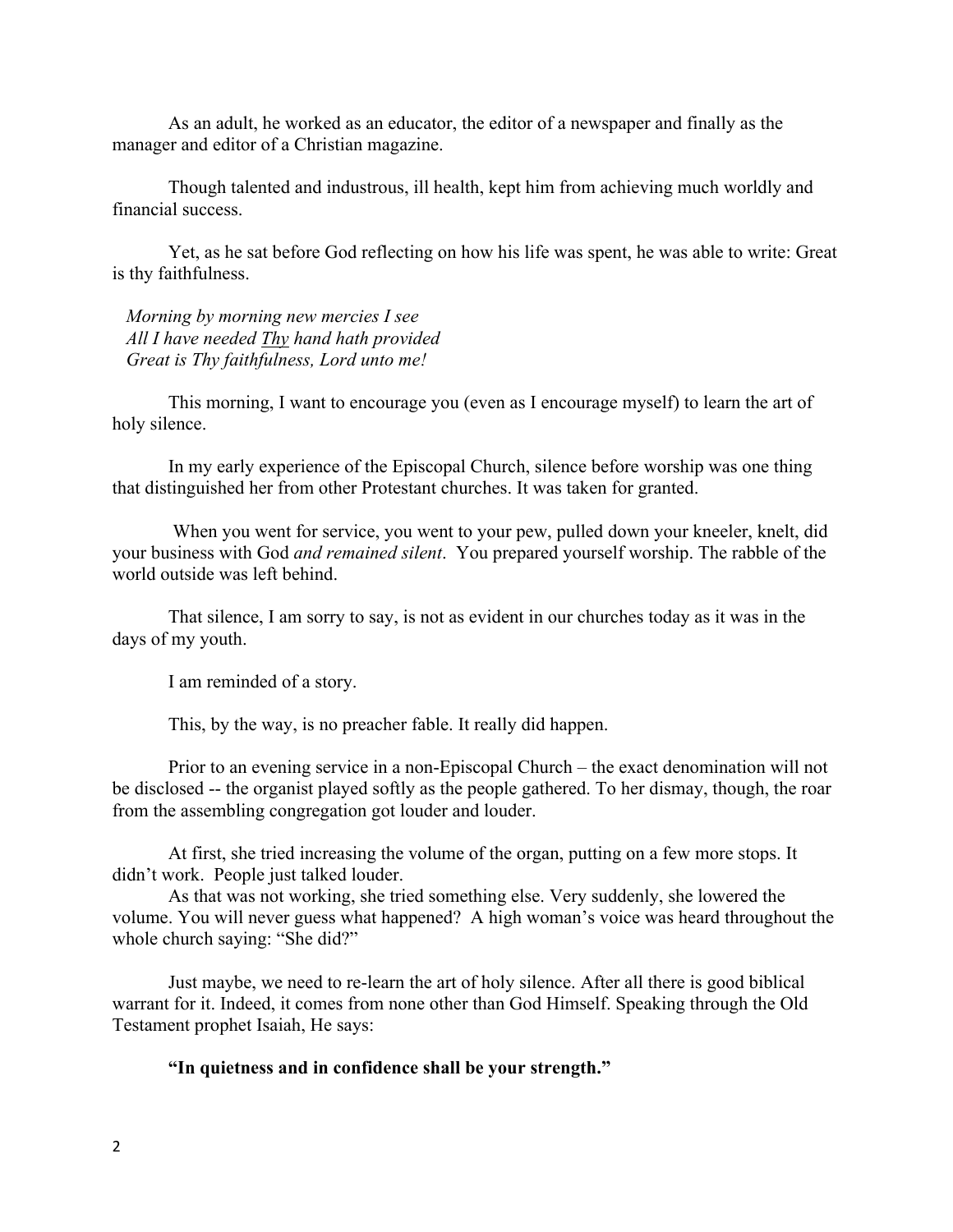As an adult, he worked as an educator, the editor of a newspaper and finally as the manager and editor of a Christian magazine.

Though talented and industrous, ill health, kept him from achieving much worldly and financial success.

Yet, as he sat before God reflecting on how his life was spent, he was able to write: Great is thy faithfulness.

 *Morning by morning new mercies I see All I have needed Thy hand hath provided Great is Thy faithfulness, Lord unto me!*

This morning, I want to encourage you (even as I encourage myself) to learn the art of holy silence.

In my early experience of the Episcopal Church, silence before worship was one thing that distinguished her from other Protestant churches. It was taken for granted.

When you went for service, you went to your pew, pulled down your kneeler, knelt, did your business with God *and remained silent*. You prepared yourself worship. The rabble of the world outside was left behind.

That silence, I am sorry to say, is not as evident in our churches today as it was in the days of my youth.

I am reminded of a story.

This, by the way, is no preacher fable. It really did happen.

Prior to an evening service in a non-Episcopal Church – the exact denomination will not be disclosed -- the organist played softly as the people gathered. To her dismay, though, the roar from the assembling congregation got louder and louder.

At first, she tried increasing the volume of the organ, putting on a few more stops. It didn't work. People just talked louder.

As that was not working, she tried something else. Very suddenly, she lowered the volume. You will never guess what happened? A high woman's voice was heard throughout the whole church saying: "She did?"

Just maybe, we need to re-learn the art of holy silence. After all there is good biblical warrant for it. Indeed, it comes from none other than God Himself. Speaking through the Old Testament prophet Isaiah, He says:

**"In quietness and in confidence shall be your strength."**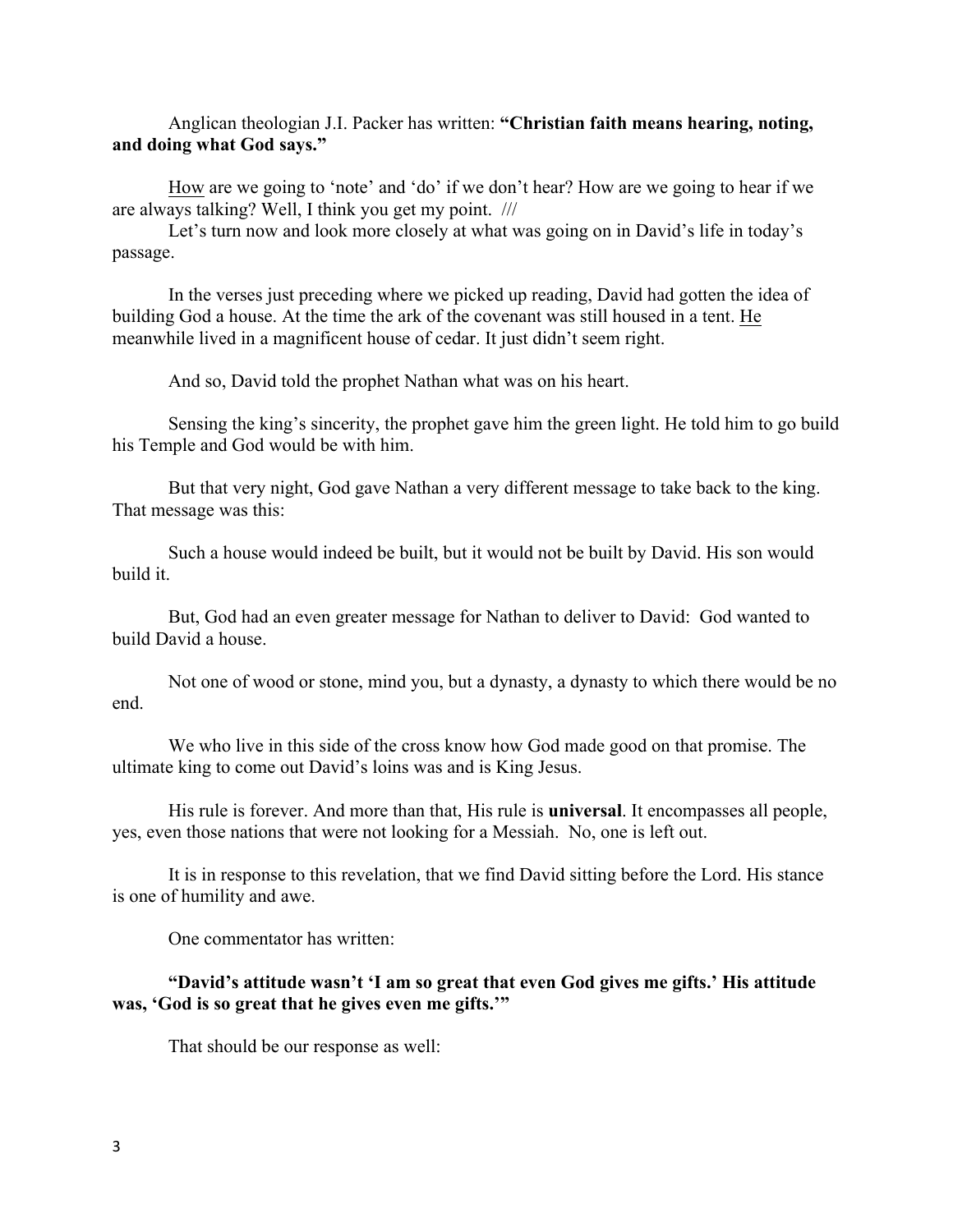### Anglican theologian J.I. Packer has written: **"Christian faith means hearing, noting, and doing what God says."**

How are we going to 'note' and 'do' if we don't hear? How are we going to hear if we are always talking? Well, I think you get my point. ///

Let's turn now and look more closely at what was going on in David's life in today's passage.

In the verses just preceding where we picked up reading, David had gotten the idea of building God a house. At the time the ark of the covenant was still housed in a tent. He meanwhile lived in a magnificent house of cedar. It just didn't seem right.

And so, David told the prophet Nathan what was on his heart.

Sensing the king's sincerity, the prophet gave him the green light. He told him to go build his Temple and God would be with him.

But that very night, God gave Nathan a very different message to take back to the king. That message was this:

Such a house would indeed be built, but it would not be built by David. His son would build it.

But, God had an even greater message for Nathan to deliver to David: God wanted to build David a house.

Not one of wood or stone, mind you, but a dynasty, a dynasty to which there would be no end.

We who live in this side of the cross know how God made good on that promise. The ultimate king to come out David's loins was and is King Jesus.

His rule is forever. And more than that, His rule is **universal**. It encompasses all people, yes, even those nations that were not looking for a Messiah. No, one is left out.

It is in response to this revelation, that we find David sitting before the Lord. His stance is one of humility and awe.

One commentator has written:

### **"David's attitude wasn't 'I am so great that even God gives me gifts.' His attitude was, 'God is so great that he gives even me gifts.'"**

That should be our response as well: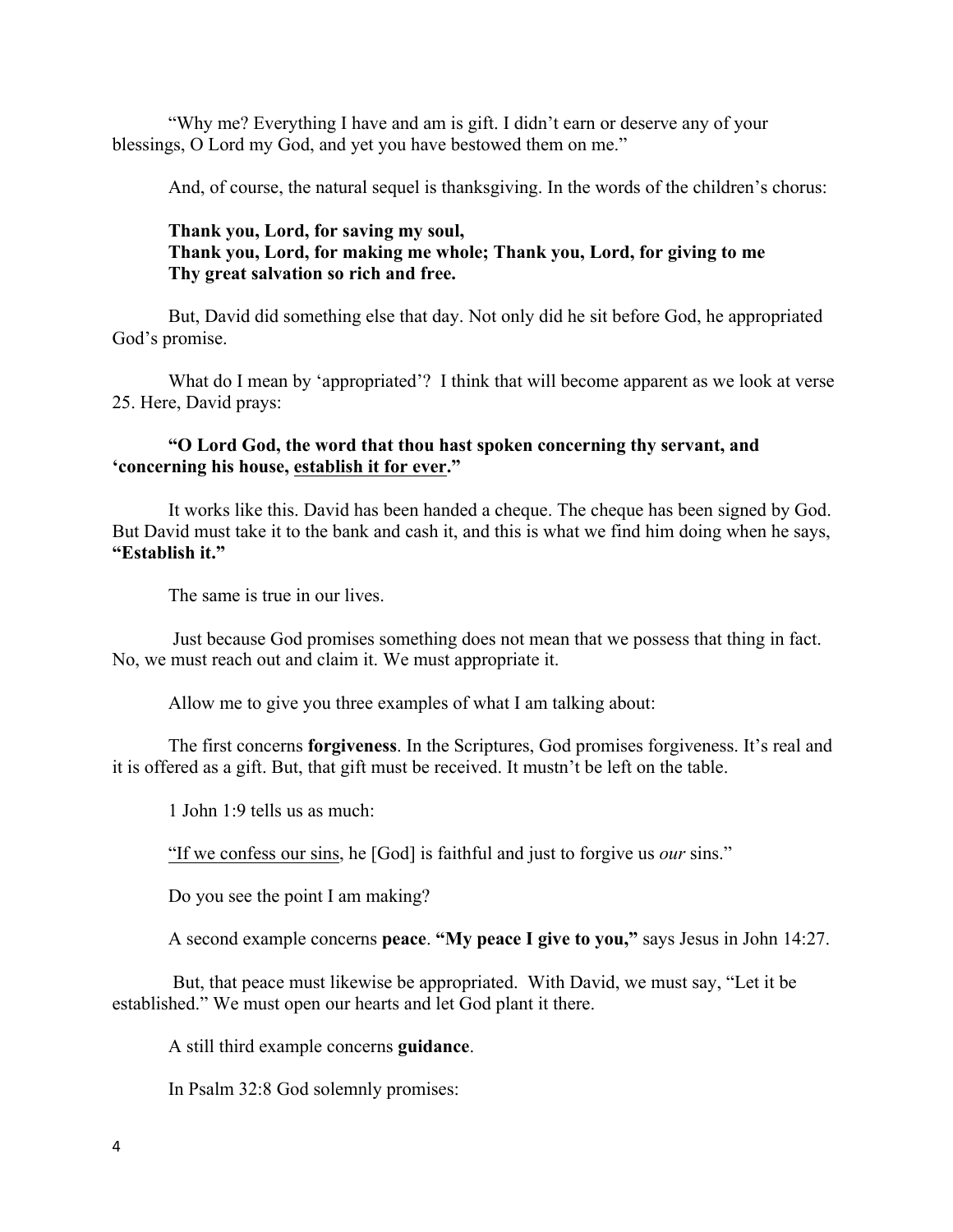"Why me? Everything I have and am is gift. I didn't earn or deserve any of your blessings, O Lord my God, and yet you have bestowed them on me."

And, of course, the natural sequel is thanksgiving. In the words of the children's chorus:

# **Thank you, Lord, for saving my soul, Thank you, Lord, for making me whole; Thank you, Lord, for giving to me Thy great salvation so rich and free.**

But, David did something else that day. Not only did he sit before God, he appropriated God's promise.

What do I mean by 'appropriated'? I think that will become apparent as we look at verse 25. Here, David prays:

# **"O Lord God, the word that thou hast spoken concerning thy servant, and 'concerning his house, establish it for ever."**

It works like this. David has been handed a cheque. The cheque has been signed by God. But David must take it to the bank and cash it, and this is what we find him doing when he says, **"Establish it."**

The same is true in our lives.

Just because God promises something does not mean that we possess that thing in fact. No, we must reach out and claim it. We must appropriate it.

Allow me to give you three examples of what I am talking about:

The first concerns **forgiveness**. In the Scriptures, God promises forgiveness. It's real and it is offered as a gift. But, that gift must be received. It mustn't be left on the table.

1 John 1:9 tells us as much:

"If we confess our sins, he [God] is faithful and just to forgive us *our* sins."

Do you see the point I am making?

A second example concerns **peace**. **"My peace I give to you,"** says Jesus in John 14:27.

But, that peace must likewise be appropriated. With David, we must say, "Let it be established." We must open our hearts and let God plant it there.

A still third example concerns **guidance**.

In Psalm 32:8 God solemnly promises: